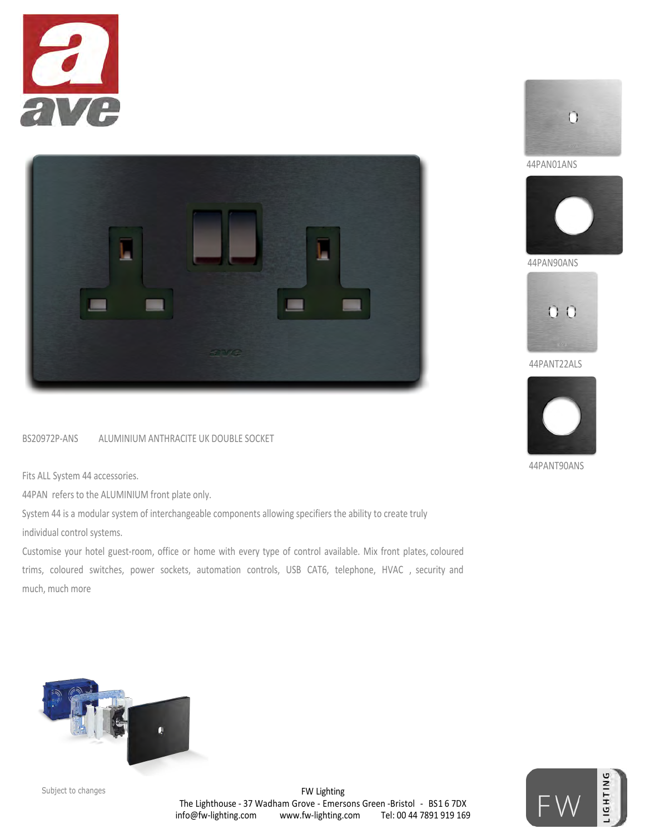



## BS20972P-ANS ALUMINIUM ANTHRACITE UK DOUBLE SOCKET

Fits ALL System 44 accessories.

44PAN refers to the ALUMINIUM front plate only.

System 44 is a modular system of interchangeable components allowing specifiers the ability to create truly individual control systems.

Customise your hotel guest-room, office or home with every type of control available. Mix front plates, coloured trims, coloured switches, power sockets, automation controls, USB CAT6, telephone, HVAC , security and much, much more









44PAN90ANS



44PANT22ALS



44PANT90ANS